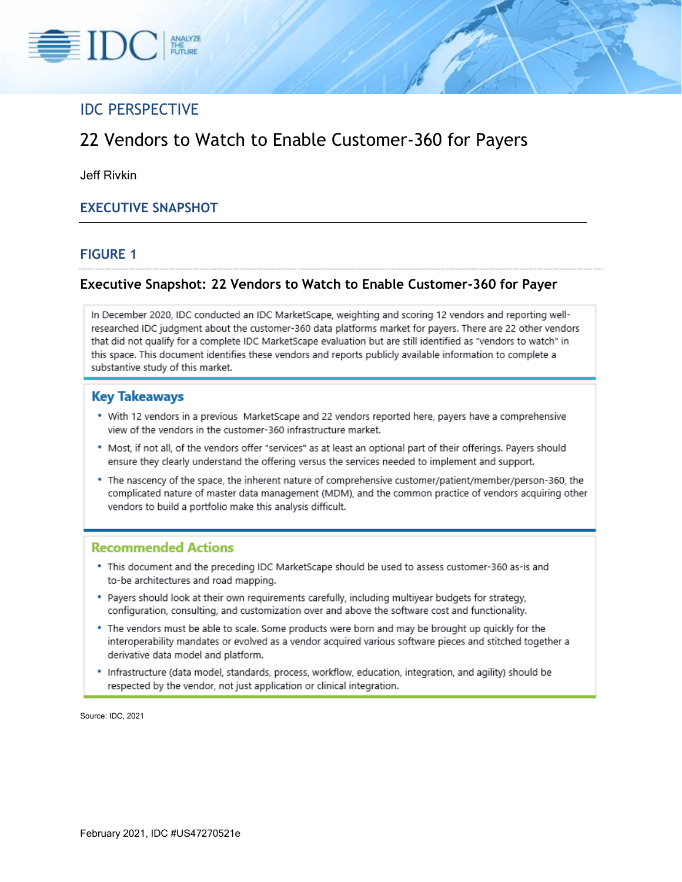

# IDC PERSPECTIVE

# 22 Vendors to Watch to Enable Customer-360 for Payers

Jeff Rivkin

### **EXECUTIVE SNAPSHOT**

#### **FIGURE 1**

#### **Executive Snapshot: 22 Vendors to Watch to Enable Customer-360 for Payer**

In December 2020, IDC conducted an IDC MarketScape, weighting and scoring 12 vendors and reporting wellresearched IDC judgment about the customer-360 data platforms market for payers. There are 22 other vendors that did not qualify for a complete IDC MarketScape evaluation but are still identified as "vendors to watch" in this space. This document identifies these vendors and reports publicly available information to complete a substantive study of this market.

#### **Key Takeaways**

- . With 12 vendors in a previous MarketScape and 22 vendors reported here, payers have a comprehensive view of the vendors in the customer-360 infrastructure market.
- . Most, if not all, of the vendors offer "services" as at least an optional part of their offerings. Payers should ensure they clearly understand the offering versus the services needed to implement and support.
- \* The nascency of the space, the inherent nature of comprehensive customer/patient/member/person-360, the complicated nature of master data management (MDM), and the common practice of vendors acquiring other vendors to build a portfolio make this analysis difficult.

#### **Recommended Actions**

- . This document and the preceding IDC MarketScape should be used to assess customer-360 as-is and to-be architectures and road mapping.
- . Payers should look at their own requirements carefully, including multiyear budgets for strategy, configuration, consulting, and customization over and above the software cost and functionality.
- . The vendors must be able to scale. Some products were born and may be brought up quickly for the interoperability mandates or evolved as a vendor acquired various software pieces and stitched together a derivative data model and platform.
- · Infrastructure (data model, standards, process, workflow, education, integration, and agility) should be respected by the vendor, not just application or clinical integration.

Source: IDC, 2021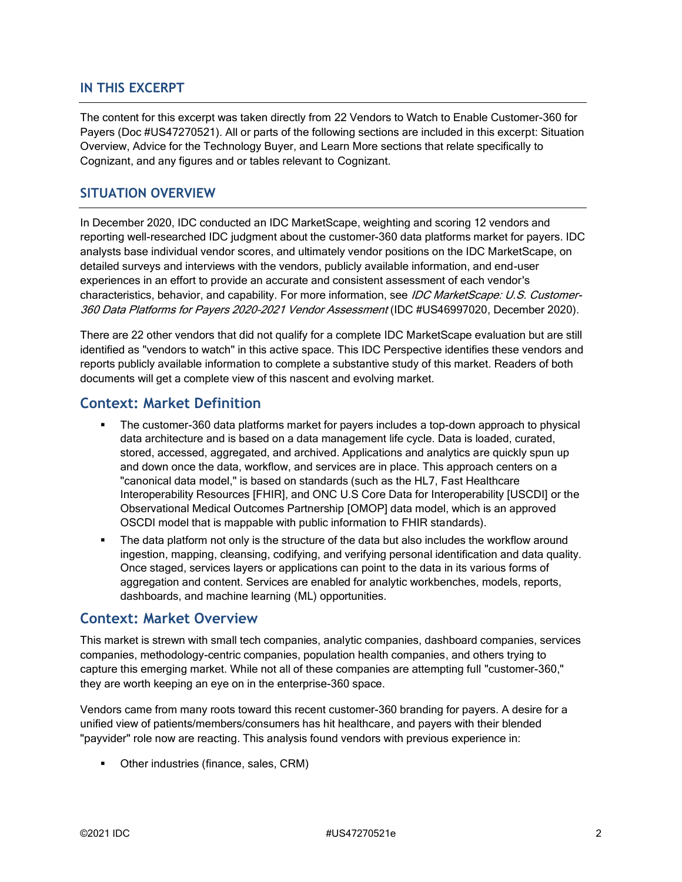### **IN THIS EXCERPT**

The content for this excerpt was taken directly from 22 Vendors to Watch to Enable Customer-360 for Payers (Doc #US47270521). All or parts of the following sections are included in this excerpt: Situation Overview, Advice for the Technology Buyer, and Learn More sections that relate specifically to Cognizant, and any figures and or tables relevant to Cognizant.

### **SITUATION OVERVIEW**

In December 2020, IDC conducted an IDC MarketScape, weighting and scoring 12 vendors and reporting well-researched IDC judgment about the customer-360 data platforms market for payers. IDC analysts base individual vendor scores, and ultimately vendor positions on the IDC MarketScape, on detailed surveys and interviews with the vendors, publicly available information, and end-user experiences in an effort to provide an accurate and consistent assessment of each vendor's characteristics, behavior, and capability. For more information, see IDC MarketScape: U.S. Customer-360 Data Platforms for Payers 2020-2021 Vendor Assessment (IDC #US46997020, December 2020).

There are 22 other vendors that did not qualify for a complete IDC MarketScape evaluation but are still identified as "vendors to watch" in this active space. This IDC Perspective identifies these vendors and reports publicly available information to complete a substantive study of this market. Readers of both documents will get a complete view of this nascent and evolving market.

## **Context: Market Definition**

- The customer-360 data platforms market for payers includes a top-down approach to physical data architecture and is based on a data management life cycle. Data is loaded, curated, stored, accessed, aggregated, and archived. Applications and analytics are quickly spun up and down once the data, workflow, and services are in place. This approach centers on a "canonical data model," is based on standards (such as the HL7, Fast Healthcare Interoperability Resources [FHIR], and ONC U.S Core Data for Interoperability [USCDI] or the Observational Medical Outcomes Partnership [OMOP] data model, which is an approved OSCDI model that is mappable with public information to FHIR standards).
- The data platform not only is the structure of the data but also includes the workflow around ingestion, mapping, cleansing, codifying, and verifying personal identification and data quality. Once staged, services layers or applications can point to the data in its various forms of aggregation and content. Services are enabled for analytic workbenches, models, reports, dashboards, and machine learning (ML) opportunities.

### **Context: Market Overview**

This market is strewn with small tech companies, analytic companies, dashboard companies, services companies, methodology-centric companies, population health companies, and others trying to capture this emerging market. While not all of these companies are attempting full "customer-360," they are worth keeping an eye on in the enterprise-360 space.

Vendors came from many roots toward this recent customer-360 branding for payers. A desire for a unified view of patients/members/consumers has hit healthcare, and payers with their blended "payvider" role now are reacting. This analysis found vendors with previous experience in:

■ Other industries (finance, sales, CRM)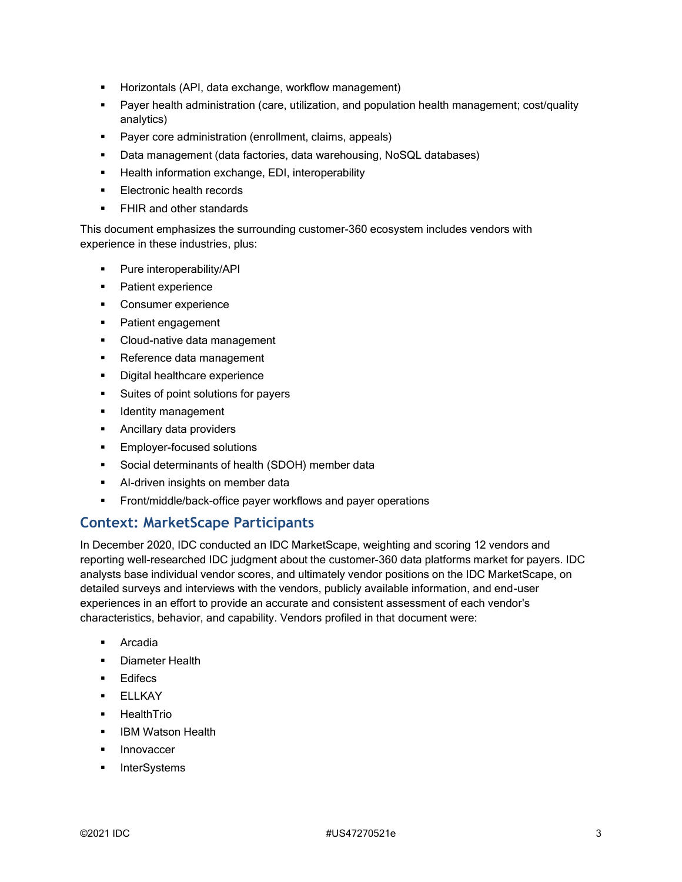- Horizontals (API, data exchange, workflow management)
- **•** Payer health administration (care, utilization, and population health management; cost/quality analytics)
- Payer core administration (enrollment, claims, appeals)
- Data management (data factories, data warehousing, NoSQL databases)
- **EXECT** Health information exchange, EDI, interoperability
- Electronic health records
- **•** FHIR and other standards

This document emphasizes the surrounding customer-360 ecosystem includes vendors with experience in these industries, plus:

- Pure interoperability/API
- Patient experience
- Consumer experience
- Patient engagement
- Cloud-native data management
- Reference data management
- **•** Digital healthcare experience
- Suites of point solutions for payers
- **■** Identity management
- Ancillary data providers
- **Employer-focused solutions**
- Social determinants of health (SDOH) member data
- **E** Al-driven insights on member data
- **Example 1** Front/middle/back-office payer workflows and payer operations

# **Context: MarketScape Participants**

In December 2020, IDC conducted an IDC MarketScape, weighting and scoring 12 vendors and reporting well-researched IDC judgment about the customer-360 data platforms market for payers. IDC analysts base individual vendor scores, and ultimately vendor positions on the IDC MarketScape, on detailed surveys and interviews with the vendors, publicly available information, and end-user experiences in an effort to provide an accurate and consistent assessment of each vendor's characteristics, behavior, and capability. Vendors profiled in that document were:

- Arcadia
- **•** Diameter Health
- Edifecs
- ELLKAY
- **■** HealthTrio
- **IBM Watson Health**
- **■** Innovaccer
- **InterSystems**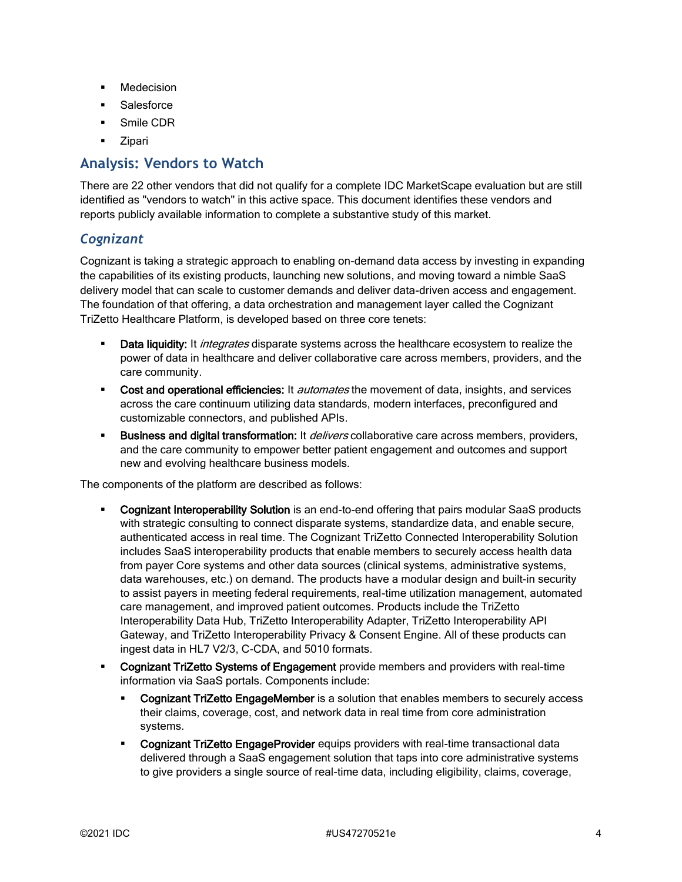- Medecision
- Salesforce
- Smile CDR
- **Zipari**

## **Analysis: Vendors to Watch**

There are 22 other vendors that did not qualify for a complete IDC MarketScape evaluation but are still identified as "vendors to watch" in this active space. This document identifies these vendors and reports publicly available information to complete a substantive study of this market.

### *Cognizant*

Cognizant is taking a strategic approach to enabling on-demand data access by investing in expanding the capabilities of its existing products, launching new solutions, and moving toward a nimble SaaS delivery model that can scale to customer demands and deliver data-driven access and engagement. The foundation of that offering, a data orchestration and management layer called the Cognizant TriZetto Healthcare Platform, is developed based on three core tenets:

- Data liquidity: It *integrates* disparate systems across the healthcare ecosystem to realize the power of data in healthcare and deliver collaborative care across members, providers, and the care community.
- **Cost and operational efficiencies:** It *automates* the movement of data, insights, and services across the care continuum utilizing data standards, modern interfaces, preconfigured and customizable connectors, and published APIs.
- Business and digital transformation: It *delivers* collaborative care across members, providers, and the care community to empower better patient engagement and outcomes and support new and evolving healthcare business models.

The components of the platform are described as follows:

- Cognizant Interoperability Solution is an end-to-end offering that pairs modular SaaS products with strategic consulting to connect disparate systems, standardize data, and enable secure, authenticated access in real time. The Cognizant TriZetto Connected Interoperability Solution includes SaaS interoperability products that enable members to securely access health data from payer Core systems and other data sources (clinical systems, administrative systems, data warehouses, etc.) on demand. The products have a modular design and built-in security to assist payers in meeting federal requirements, real-time utilization management, automated care management, and improved patient outcomes. Products include the TriZetto Interoperability Data Hub, TriZetto Interoperability Adapter, TriZetto Interoperability API Gateway, and TriZetto Interoperability Privacy & Consent Engine. All of these products can ingest data in HL7 V2/3, C-CDA, and 5010 formats.
- **Cognizant TriZetto Systems of Engagement** provide members and providers with real-time information via SaaS portals. Components include:
	- **EXEDENT Cognizant TriZetto EngageMember** is a solution that enables members to securely access their claims, coverage, cost, and network data in real time from core administration systems.
	- **Cognizant TriZetto EngageProvider** equips providers with real-time transactional data delivered through a SaaS engagement solution that taps into core administrative systems to give providers a single source of real-time data, including eligibility, claims, coverage,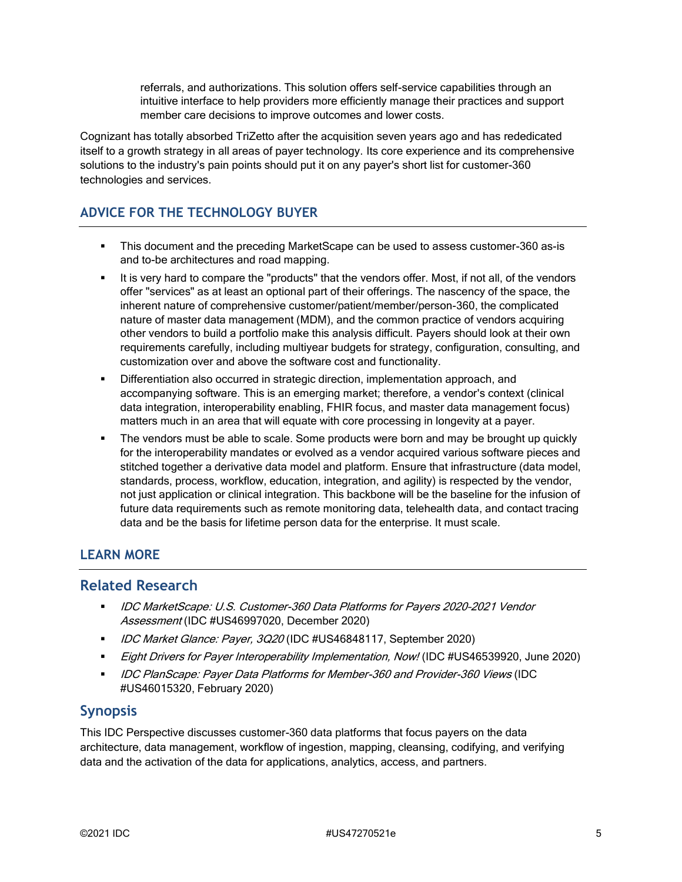referrals, and authorizations. This solution offers self-service capabilities through an intuitive interface to help providers more efficiently manage their practices and support member care decisions to improve outcomes and lower costs.

Cognizant has totally absorbed TriZetto after the acquisition seven years ago and has rededicated itself to a growth strategy in all areas of payer technology. Its core experience and its comprehensive solutions to the industry's pain points should put it on any payer's short list for customer-360 technologies and services.

## **ADVICE FOR THE TECHNOLOGY BUYER**

- This document and the preceding MarketScape can be used to assess customer-360 as-is and to-be architectures and road mapping.
- It is very hard to compare the "products" that the vendors offer. Most, if not all, of the vendors offer "services" as at least an optional part of their offerings. The nascency of the space, the inherent nature of comprehensive customer/patient/member/person-360, the complicated nature of master data management (MDM), and the common practice of vendors acquiring other vendors to build a portfolio make this analysis difficult. Payers should look at their own requirements carefully, including multiyear budgets for strategy, configuration, consulting, and customization over and above the software cost and functionality.
- Differentiation also occurred in strategic direction, implementation approach, and accompanying software. This is an emerging market; therefore, a vendor's context (clinical data integration, interoperability enabling, FHIR focus, and master data management focus) matters much in an area that will equate with core processing in longevity at a payer.
- The vendors must be able to scale. Some products were born and may be brought up quickly for the interoperability mandates or evolved as a vendor acquired various software pieces and stitched together a derivative data model and platform. Ensure that infrastructure (data model, standards, process, workflow, education, integration, and agility) is respected by the vendor, not just application or clinical integration. This backbone will be the baseline for the infusion of future data requirements such as remote monitoring data, telehealth data, and contact tracing data and be the basis for lifetime person data for the enterprise. It must scale.

### **LEARN MORE**

### **Related Research**

- IDC MarketScape: U.S. Customer-360 Data Platforms for Payers 2020–2021 Vendor Assessment (IDC #US46997020, December 2020)
- *IDC Market Glance: Payer, 3Q20* (IDC #US46848117, September 2020)
- Eight Drivers for Payer Interoperability Implementation, Now! (IDC #US46539920, June 2020)
- **■** IDC PlanScape: Payer Data Platforms for Member-360 and Provider-360 Views (IDC #US46015320, February 2020)

### **Synopsis**

This IDC Perspective discusses customer-360 data platforms that focus payers on the data architecture, data management, workflow of ingestion, mapping, cleansing, codifying, and verifying data and the activation of the data for applications, analytics, access, and partners.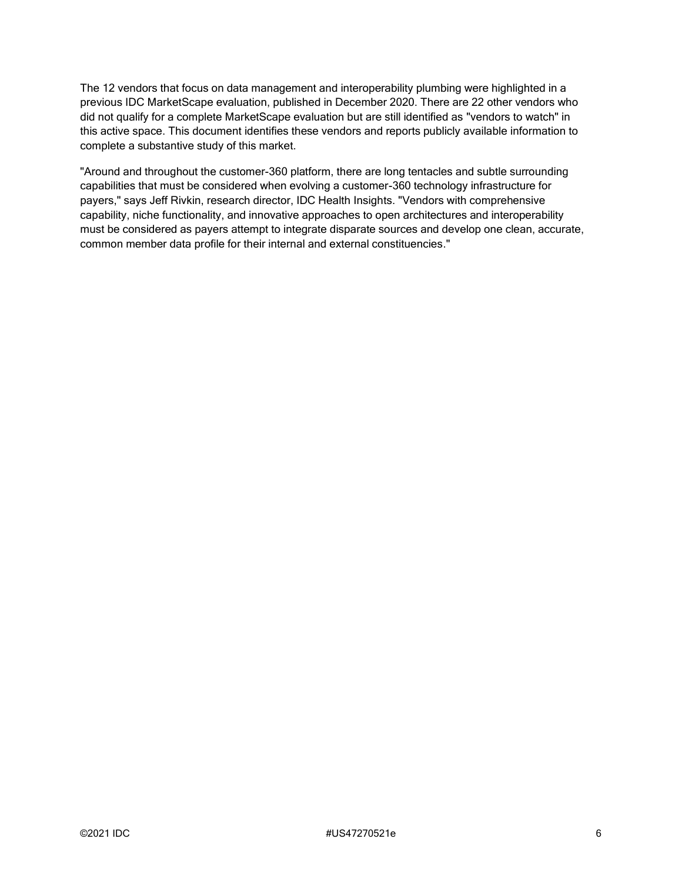The 12 vendors that focus on data management and interoperability plumbing were highlighted in a previous IDC MarketScape evaluation, published in December 2020. There are 22 other vendors who did not qualify for a complete MarketScape evaluation but are still identified as "vendors to watch" in this active space. This document identifies these vendors and reports publicly available information to complete a substantive study of this market.

"Around and throughout the customer-360 platform, there are long tentacles and subtle surrounding capabilities that must be considered when evolving a customer-360 technology infrastructure for payers," says Jeff Rivkin, research director, IDC Health Insights. "Vendors with comprehensive capability, niche functionality, and innovative approaches to open architectures and interoperability must be considered as payers attempt to integrate disparate sources and develop one clean, accurate, common member data profile for their internal and external constituencies."